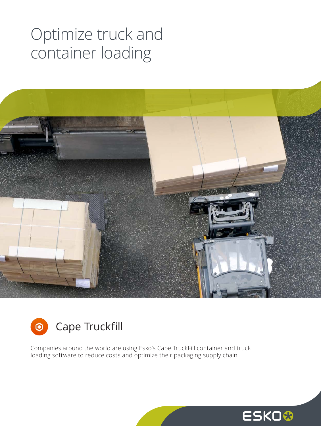## Optimize truck and container loading





Companies around the world are using Esko's Cape TruckFill container and truck loading software to reduce costs and optimize their packaging supply chain.